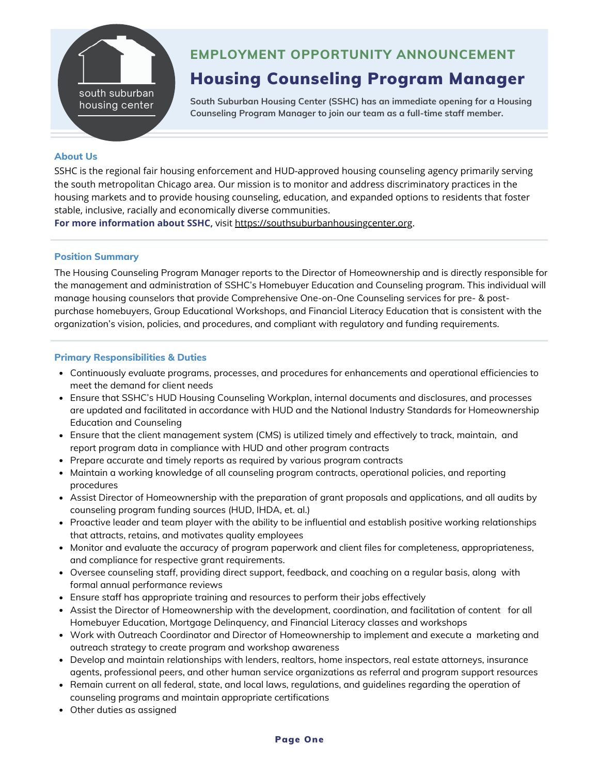

## **EMPLOYMENT OPPORTUNITY ANNOUNCEMENT**

# Housing Counseling Program Manager

**South Suburban Housing Center (SSHC) has an immediate opening for a Housing Counseling Program Manager to join our team as a full-time staff member.**

#### **About Us**

SSHC is the regional fair housing enforcement and HUD-approved housing counseling agency primarily serving the south metropolitan Chicago area. Our mission is to monitor and address discriminatory practices in the housing markets and to provide housing counseling, education, and expanded options to residents that foster stable, inclusive, racially and economically diverse communities.

**For more information about SSHC,** visit [https://southsuburbanhousingcenter.org.](https://southsuburbanhousingcenter.org/)

#### **Position Summary**

The Housing Counseling Program Manager reports to the Director of Homeownership and is directly responsible for the management and administration of SSHC's Homebuyer Education and Counseling program. This individual will manage housing counselors that provide Comprehensive One-on-One Counseling services for pre- & post purchase homebuyers, Group Educational Workshops, and Financial Literacy Education that is consistent with the organization's vision, policies, and procedures, and compliant with regulatory and funding requirements.

#### **Primary Responsibilities & Duties**

- Continuously evaluate programs, processes, and procedures for enhancements and operational efficiencies to meet the demand for client needs
- Ensure that SSHC's HUD Housing Counseling Workplan, internal documents and disclosures, and processes are updated and facilitated in accordance with HUD and the National Industry Standards for Homeownership Education and Counseling
- Ensure that the client management system (CMS) is utilized timely and effectively to track, maintain, and report program data in compliance with HUD and other program contracts
- Prepare accurate and timely reports as required by various program contracts
- Maintain a working knowledge of all counseling program contracts, operational policies, and reporting procedures
- Assist Director of Homeownership with the preparation of grant proposals and applications, and all audits by counseling program funding sources (HUD, IHDA, et. al.)
- Proactive leader and team player with the ability to be influential and establish positive working relationships that attracts, retains, and motivates quality employees
- Monitor and evaluate the accuracy of program paperwork and client files for completeness, appropriateness, and compliance for respective grant requirements.
- Oversee counseling staff, providing direct support, feedback, and coaching on a regular basis, along with formal annual performance reviews
- Ensure staff has appropriate training and resources to perform their jobs effectively
- Assist the Director of Homeownership with the development, coordination, and facilitation of content for all Homebuyer Education, Mortgage Delinquency, and Financial Literacy classes and workshops
- Work with Outreach Coordinator and Director of Homeownership to implement and execute a marketing and outreach strategy to create program and workshop awareness
- Develop and maintain relationships with lenders, realtors, home inspectors, real estate attorneys, insurance agents, professional peers, and other human service organizations as referral and program support resources
- Remain current on all federal, state, and local laws, regulations, and guidelines regarding the operation of counseling programs and maintain appropriate certifications
- Other duties as assigned